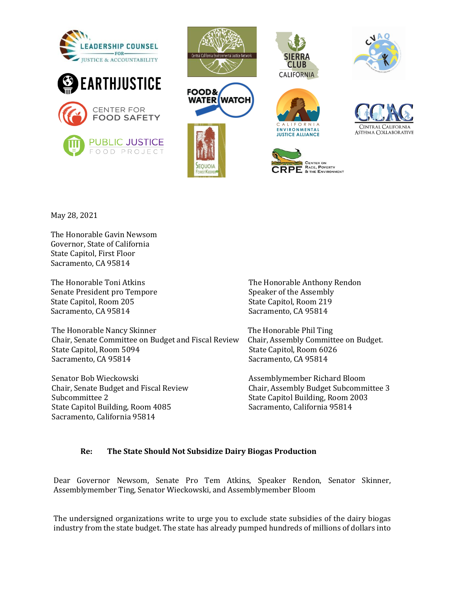







ENVIRONMENTAL

**JUSTICE ALLIANCE** 

RACE, POVERTY & THE ENVIRONMENT





May 28, 2021

The Honorable Gavin Newsom Governor, State of California State Capitol, First Floor Sacramento, CA 95814

The Honorable Toni Atkins Senate President pro Tempore State Capitol, Room 205 Sacramento, CA 95814

The Honorable Nancy Skinner Chair, Senate Committee on Budget and Fiscal Review State Capitol, Room 5094 Sacramento, CA 95814

Senator Bob Wieckowski Chair, Senate Budget and Fiscal Review Subcommittee 2 State Capitol Building, Room 4085 Sacramento, California 95814

The Honorable Anthony Rendon Speaker of the Assembly State Capitol, Room 219 Sacramento, CA 95814

The Honorable Phil Ting Chair, Assembly Committee on Budget. State Capitol, Room 6026 Sacramento, CA 95814

Assemblymember Richard Bloom Chair, Assembly Budget Subcommittee 3 State Capitol Building, Room 2003 Sacramento, California 95814

### **Re:** The State Should Not Subsidize Dairy Biogas Production

Dear Governor Newsom, Senate Pro Tem Atkins, Speaker Rendon, Senator Skinner, Assemblymember Ting, Senator Wieckowski, and Assemblymember Bloom

The undersigned organizations write to urge you to exclude state subsidies of the dairy biogas industry from the state budget. The state has already pumped hundreds of millions of dollars into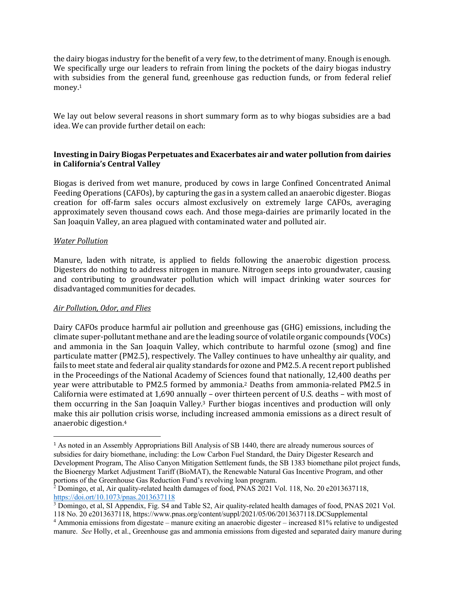the dairy biogas industry for the benefit of a very few, to the detriment of many. Enough is enough. We specifically urge our leaders to refrain from lining the pockets of the dairy biogas industry with subsidies from the general fund, greenhouse gas reduction funds, or from federal relief money.1

We lay out below several reasons in short summary form as to why biogas subsidies are a bad idea. We can provide further detail on each:

# **Investing in Dairy Biogas Perpetuates and Exacerbates air and water pollution from dairies in California's Central Valley**

Biogas is derived from wet manure, produced by cows in large Confined Concentrated Animal Feeding Operations (CAFOs), by capturing the gas in a system called an anaerobic digester. Biogas creation for off-farm sales occurs almost exclusively on extremely large CAFOs, averaging approximately seven thousand cows each. And those mega-dairies are primarily located in the San Joaquin Valley, an area plagued with contaminated water and polluted air.

# **Water Pollution**

Manure, laden with nitrate, is applied to fields following the anaerobic digestion process. Digesters do nothing to address nitrogen in manure. Nitrogen seeps into groundwater, causing and contributing to groundwater pollution which will impact drinking water sources for disadvantaged communities for decades.

### *Air Pollution, Odor, and Flies*

Dairy CAFOs produce harmful air pollution and greenhouse gas (GHG) emissions, including the climate super-pollutant methane and are the leading source of volatile organic compounds (VOCs) and ammonia in the San Joaquin Valley, which contribute to harmful ozone (smog) and fine particulate matter (PM2.5), respectively. The Valley continues to have unhealthy air quality, and fails to meet state and federal air quality standards for ozone and PM2.5. A recent report published in the Proceedings of the National Academy of Sciences found that nationally, 12,400 deaths per year were attributable to PM2.5 formed by ammonia.<sup>2</sup> Deaths from ammonia-related PM2.5 in California were estimated at 1,690 annually - over thirteen percent of U.S. deaths - with most of them occurring in the San Joaquin Valley.<sup>3</sup> Further biogas incentives and production will only make this air pollution crisis worse, including increased ammonia emissions as a direct result of anaerobic digestion.<sup>4</sup>

<sup>1</sup> As noted in an Assembly Appropriations Bill Analysis of SB 1440, there are already numerous sources of subsidies for dairy biomethane, including: the Low Carbon Fuel Standard, the Dairy Digester Research and Development Program, The Aliso Canyon Mitigation Settlement funds, the SB 1383 biomethane pilot project funds, the Bioenergy Market Adjustment Tariff (BioMAT), the Renewable Natural Gas Incentive Program, and other portions of the Greenhouse Gas Reduction Fund's revolving loan program.

<sup>&</sup>lt;sup>2</sup> Domingo, et al, Air quality-related health damages of food, PNAS 2021 Vol. 118, No. 20 e2013637118, https://doi.ort/10.1073/pnas.2013637118

<sup>&</sup>lt;sup>3</sup> Domingo, et al, SI Appendix, Fig. S4 and Table S2, Air quality-related health damages of food, PNAS 2021 Vol. 118 No. 20 e2013637118, https://www.pnas.org/content/suppl/2021/05/06/2013637118.DCSupplemental

<sup>4</sup> Ammonia emissions from digestate – manure exiting an anaerobic digester – increased 81% relative to undigested manure. *See* Holly, et al., Greenhouse gas and ammonia emissions from digested and separated dairy manure during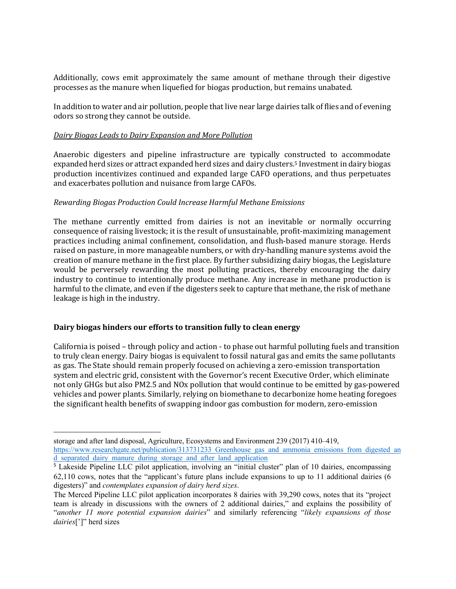Additionally, cows emit approximately the same amount of methane through their digestive processes as the manure when liquefied for biogas production, but remains unabated.

In addition to water and air pollution, people that live near large dairies talk of flies and of evening odors so strong they cannot be outside.

### *Dairy Biogas Leads to Dairy Expansion and More Pollution*

Anaerobic digesters and pipeline infrastructure are typically constructed to accommodate expanded herd sizes or attract expanded herd sizes and dairy clusters.<sup>5</sup> Investment in dairy biogas production incentivizes continued and expanded large CAFO operations, and thus perpetuates and exacerbates pollution and nuisance from large CAFOs.

# **Rewarding Biogas Production Could Increase Harmful Methane Emissions**

The methane currently emitted from dairies is not an inevitable or normally occurring consequence of raising livestock; it is the result of unsustainable, profit-maximizing management practices including animal confinement, consolidation, and flush-based manure storage. Herds raised on pasture, in more manageable numbers, or with dry-handling manure systems avoid the creation of manure methane in the first place. By further subsidizing dairy biogas, the Legislature would be perversely rewarding the most polluting practices, thereby encouraging the dairy industry to continue to intentionally produce methane. Any increase in methane production is harmful to the climate, and even if the digesters seek to capture that methane, the risk of methane leakage is high in the industry.

### Dairy biogas hinders our efforts to transition fully to clean energy

California is poised – through policy and action - to phase out harmful polluting fuels and transition to truly clean energy. Dairy biogas is equivalent to fossil natural gas and emits the same pollutants as gas. The State should remain properly focused on achieving a zero-emission transportation system and electric grid, consistent with the Governor's recent Executive Order, which eliminate not only GHGs but also PM2.5 and NOx pollution that would continue to be emitted by gas-powered vehicles and power plants. Similarly, relying on biomethane to decarbonize home heating foregoes the significant health benefits of swapping indoor gas combustion for modern, zero-emission

storage and after land disposal, Agriculture, Ecosystems and Environment 239 (2017) 410–419, https://www.researchgate.net/publication/313731233\_Greenhouse\_gas\_and\_ammonia\_emissions\_from\_digested\_an d separated dairy manure during storage and after land application

<sup>&</sup>lt;sup>5</sup> Lakeside Pipeline LLC pilot application, involving an "initial cluster" plan of 10 dairies, encompassing 62,110 cows, notes that the "applicant's future plans include expansions to up to 11 additional dairies (6 digesters)" and *contemplates expansion of dairy herd sizes*.

The Merced Pipeline LLC pilot application incorporates 8 dairies with 39,290 cows, notes that its "project team is already in discussions with the owners of 2 additional dairies," and explains the possibility of "*another 11 more potential expansion dairies*" and similarly referencing "*likely expansions of those dairies*[']" herd sizes